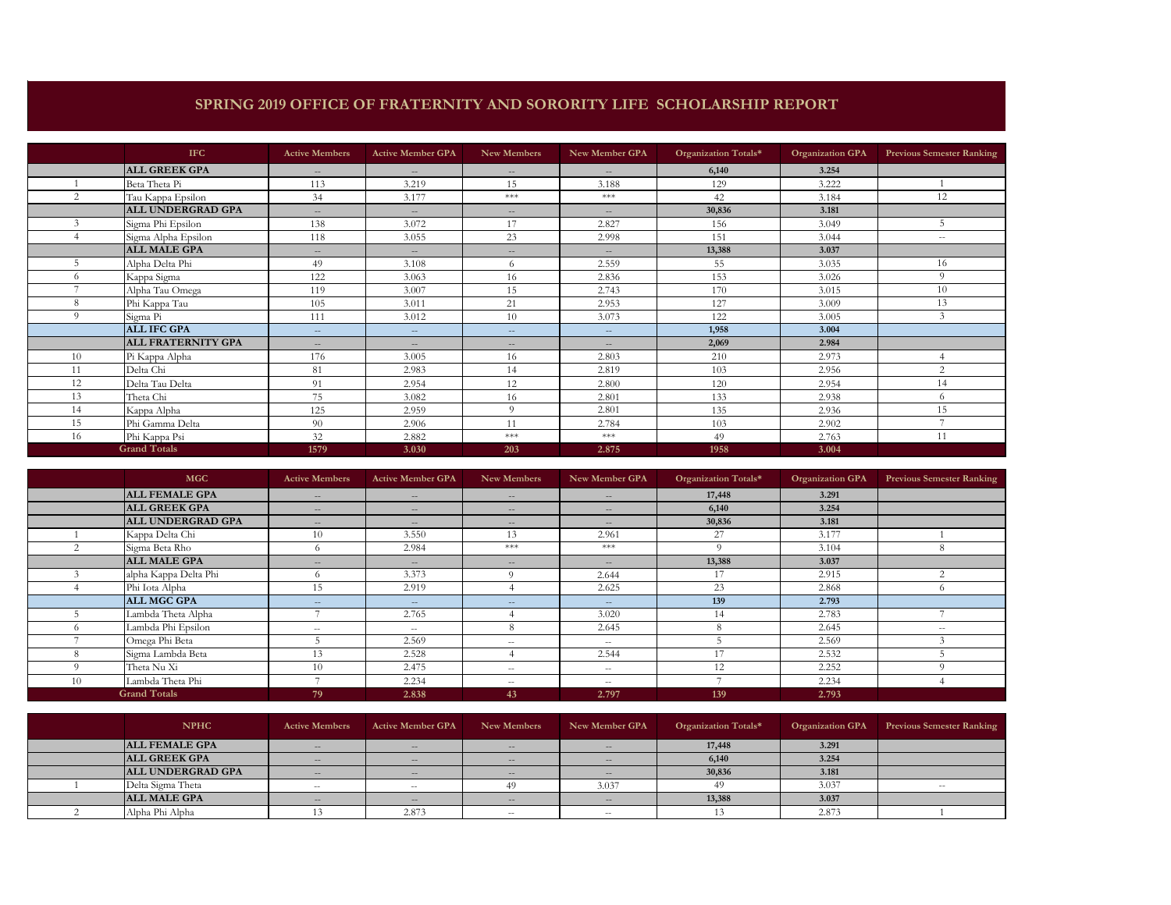## **SPRING 2019 OFFICE OF FRATERNITY AND SORORITY LIFE SCHOLARSHIP REPORT**

|    | <b>IFC</b>                | <b>Active Members</b> | <b>Active Member GPA</b> | New Members              | New Member GPA           | Organization Totals* | <b>Organization GPA</b> | <b>Previous Semester Ranking</b> |
|----|---------------------------|-----------------------|--------------------------|--------------------------|--------------------------|----------------------|-------------------------|----------------------------------|
|    | <b>ALL GREEK GPA</b>      | $\sim$                | $\sim$                   | $\hspace{0.05cm} \ldots$ | $-$                      | 6,140                | 3.254                   |                                  |
|    | Beta Theta Pi             | 113                   | 3.219                    | 15                       | 3.188                    | 129                  | 3.222                   |                                  |
| 2  | Tau Kappa Epsilon         | 34                    | 3.177                    | ***                      | $***$                    | 42                   | 3.184                   | 12                               |
|    | <b>ALL UNDERGRAD GPA</b>  | $\sim$                | $\sim$                   | $-$                      | $-$                      | 30,836               | 3.181                   |                                  |
|    | Sigma Phi Epsilon         | 138                   | 3.072                    | 17                       | 2.827                    | 156                  | 3.049                   |                                  |
|    | Sigma Alpha Epsilon       | 118                   | 3.055                    | 23                       | 2.998                    | 151                  | 3.044                   | $\sim$                           |
|    | <b>ALL MALE GPA</b>       | $\sim$                | $\sim$                   | $-$                      | $\overline{\phantom{m}}$ | 13,388               | 3.037                   |                                  |
|    | Alpha Delta Phi           | 49                    | 3.108                    | 6                        | 2.559                    | 55                   | 3.035                   | 16                               |
| 6  | Kappa Sigma               | 122                   | 3.063                    | 16                       | 2.836                    | 153                  | 3.026                   | 9                                |
|    | Alpha Tau Omega           | 119                   | 3.007                    | 15                       | 2.743                    | 170                  | 3.015                   | 10                               |
| 8  | Phi Kappa Tau             | 105                   | 3.011                    | 21                       | 2.953                    | 127                  | 3.009                   | 13                               |
| Q  | Sigma Pi                  | 111                   | 3.012                    | 10                       | 3.073                    | 122                  | 3.005                   | $\mathfrak{Z}$                   |
|    | <b>ALL IFC GPA</b>        | $\sim$ $\sim$         | $\sim$                   | $\hspace{0.05cm} \ldots$ | $-$                      | 1,958                | 3.004                   |                                  |
|    | <b>ALL FRATERNITY GPA</b> | $\sim$                | $\sim$                   | $-1$                     | $-$                      | 2,069                | 2.984                   |                                  |
| 10 | Pi Kappa Alpha            | 176                   | 3.005                    | 16                       | 2.803                    | 210                  | 2.973                   |                                  |
| 11 | Delta Chi                 | 81                    | 2.983                    | 14                       | 2.819                    | 103                  | 2.956                   | 2                                |
| 12 | Delta Tau Delta           | 91                    | 2.954                    | 12                       | 2.800                    | 120                  | 2.954                   | 14                               |
| 13 | Theta Chi                 | 75                    | 3.082                    | 16                       | 2.801                    | 133                  | 2.938                   | 6                                |
| 14 | Kappa Alpha               | 125                   | 2.959                    | $\Omega$                 | 2.801                    | 135                  | 2.936                   | 15                               |
| 15 | Phi Gamma Delta           | 90                    | 2.906                    | 11                       | 2.784                    | 103                  | 2.902                   |                                  |
| 16 | Phi Kappa Psi             | 32                    | 2.882                    | ***                      | $***$                    | 49                   | 2.763                   | 11                               |
|    | <b>Grand Totals</b>       | 1579                  | 3.030                    | 203                      | 2.875                    | 1958                 | 3.004                   |                                  |

|          | <b>MGC</b>            | <b>Active Members</b>    | <b>Active Member GPA</b> | New Members              | New Member GPA | Organization Totals* | <b>Organization GPA</b> | <b>Previous Semester Ranking</b> |
|----------|-----------------------|--------------------------|--------------------------|--------------------------|----------------|----------------------|-------------------------|----------------------------------|
|          | <b>ALL FEMALE GPA</b> | $\sim$                   | $\sim$                   | $\sim$                   | $\sim$         | 17,448               | 3.291                   |                                  |
|          | <b>ALL GREEK GPA</b>  | $\sim$                   | $\sim$                   | $- -$                    | $\sim$         | 6,140                | 3.254                   |                                  |
|          | ALL UNDERGRAD GPA     | $\sim$                   | $\sim$                   | $- -$                    | $\sim$         | 30,836               | 3.181                   |                                  |
|          | Kappa Delta Chi       | 10                       | 3.550                    | 13                       | 2.961          | 27                   | 3.177                   |                                  |
|          | Sigma Beta Rho        | 6                        | 2.984                    | **                       | $***$          | $\Omega$             | 3.104                   | 8                                |
|          | <b>ALL MALE GPA</b>   | $\sim$                   | $\sim$                   | $- -$                    | $\sim$         | 13,388               | 3.037                   |                                  |
|          | alpha Kappa Delta Phi | $\Omega$                 | 3.373                    | $\Omega$                 | 2.644          | 17                   | 2.915                   | $\Omega$                         |
|          | Phi Iota Alpha        | 15                       | 2.919                    |                          | 2.625          | 23                   | 2.868                   | $^{(1)}$                         |
|          | <b>ALL MGC GPA</b>    | $\sim$                   | $\sim$                   | $\qquad \qquad -$        | $\sim$         | 139                  | 2.793                   |                                  |
|          | Lambda Theta Alpha    |                          | 2.765                    |                          | 3.020          |                      | 2.783                   |                                  |
| $\Omega$ | Lambda Phi Epsilon    | $\sim$                   | $\sim$                   |                          | 2.645          |                      | 2.645                   | $ -$                             |
|          | Omega Phi Beta        |                          | 2.569                    | $\overline{\phantom{a}}$ | $\sim$         |                      | 2.569                   |                                  |
|          | Sigma Lambda Beta     | 13                       | 2.528                    |                          | 2.544          | 17                   | 2.532                   |                                  |
| $\Omega$ | Theta Nu Xi           | 10                       | 2.475                    | $\overline{\phantom{a}}$ | $\sim$         | 12                   | 2.252                   | $\Omega$                         |
| 10       | Lambda Theta Phi      | $\overline{\phantom{a}}$ | 2.234                    | $\hspace{0.05cm} -$      | $\sim$         |                      | 2.234                   |                                  |
|          | <b>Grand Totals</b>   | 79                       | 2.838                    | 43                       | 2.797          | 139                  | 2.793                   |                                  |

| <b>NPHC</b>              | <b>Active Members</b>    | <b>Active Member GPA</b> | New Members       | New Member GPA           | Organization Totals* | <b>Organization GPA</b> | <b>Previous Semester Ranking</b> |
|--------------------------|--------------------------|--------------------------|-------------------|--------------------------|----------------------|-------------------------|----------------------------------|
| <b>ALL FEMALE GPA</b>    | $\overline{\phantom{a}}$ | $\sim$                   | $\qquad \qquad -$ | $\overline{\phantom{a}}$ | 17,448               | 3.291                   |                                  |
| <b>ALL GREEK GPA</b>     | $\sim$                   | $\sim$                   | $-$               | $-1$                     | 6,140                | 3.254                   |                                  |
| <b>ALL UNDERGRAD GPA</b> | $\sim$                   | $\sim$                   | $\qquad \qquad -$ | $\sim$                   | 30,836               | 3.181                   |                                  |
| Delta Sigma Theta        | $\overline{\phantom{a}}$ | $\overline{\phantom{a}}$ |                   | 3.037                    |                      | 3.037                   | $ -$                             |
| <b>ALL MALE GPA</b>      | $\sim$                   | $\sim$                   | $\qquad \qquad -$ | $-1$                     | 13,388               | 3.037                   |                                  |
| Alpha Phi Alpha          |                          | 2.873                    | $- -$             | $\sim$                   |                      | 2.873                   |                                  |